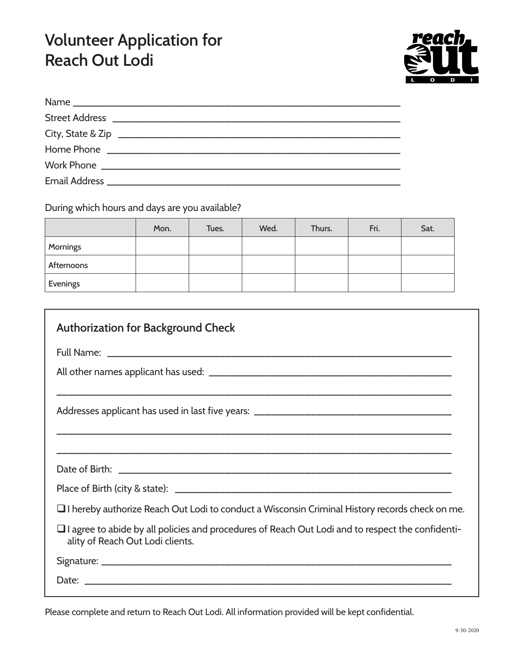## **Volunteer Application for Reach Out Lodi**



During which hours and days are you available?

|            | Mon. | Tues. | Wed. | Thurs. | Fri. | Sat. |
|------------|------|-------|------|--------|------|------|
| Mornings   |      |       |      |        |      |      |
| Afternoons |      |       |      |        |      |      |
| Evenings   |      |       |      |        |      |      |

| <b>Authorization for Background Check</b>                                                                                                   |
|---------------------------------------------------------------------------------------------------------------------------------------------|
|                                                                                                                                             |
|                                                                                                                                             |
| ,我们也不能在这里的时候,我们也不能在这里的时候,我们也不能在这里的时候,我们也不能会在这里的时候,我们也不能会在这里的时候,我们也不能会在这里的时候,我们也不能                                                           |
|                                                                                                                                             |
|                                                                                                                                             |
| $\Box$ I hereby authorize Reach Out Lodi to conduct a Wisconsin Criminal History records check on me.                                       |
| $\Box$ I agree to abide by all policies and procedures of Reach Out Lodi and to respect the confidenti-<br>ality of Reach Out Lodi clients. |
|                                                                                                                                             |
|                                                                                                                                             |

Please complete and return to Reach Out Lodi. All information provided will be kept confidential.